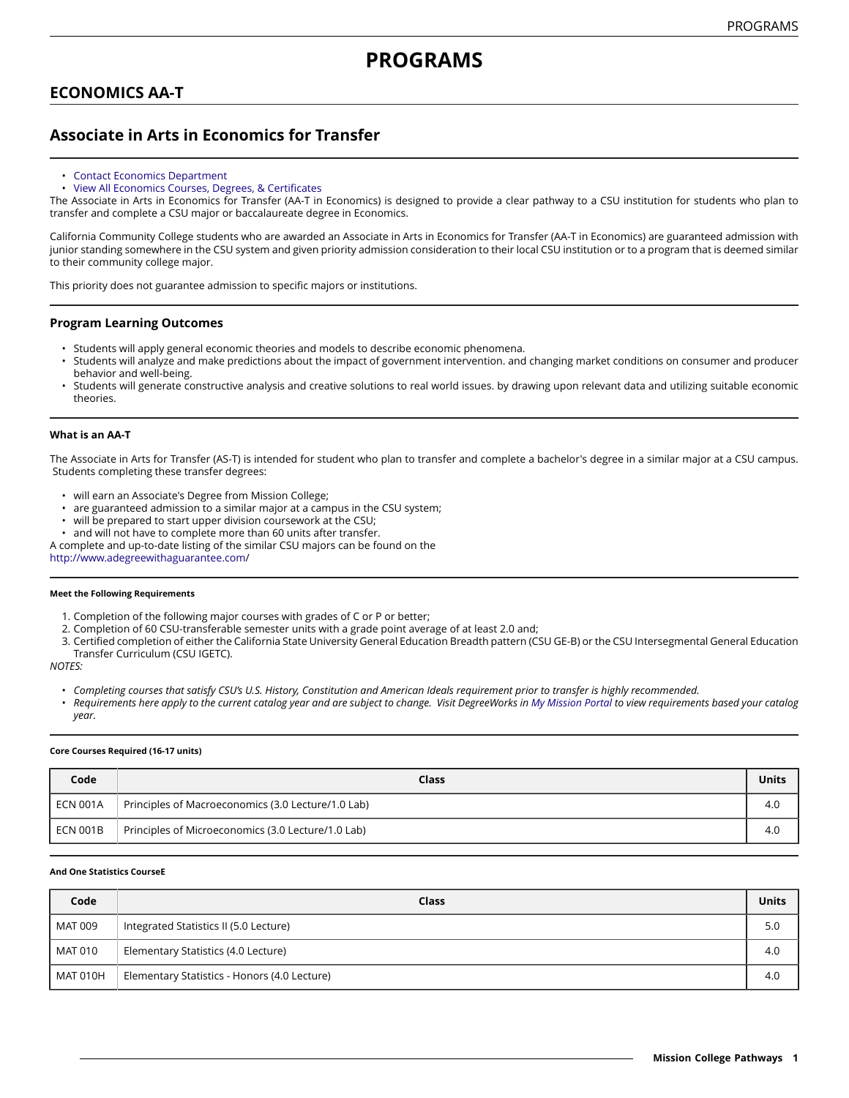# **PROGRAMS**

# **ECONOMICS AA-T**

# **Associate in Arts in Economics for Transfer**

- [Contact Economics Department](https://missioncollege.edu/depts/economics/)
- View All Economics Courses, Degrees, & [Certificates](http://majors.missioncollege.edu/current/courses/ecn.html)

The Associate in Arts in Economics for Transfer (AA-T in Economics) is designed to provide a clear pathway to a CSU institution for students who plan to transfer and complete a CSU major or baccalaureate degree in Economics.

California Community College students who are awarded an Associate in Arts in Economics for Transfer (AA-T in Economics) are guaranteed admission with junior standing somewhere in the CSU system and given priority admission consideration to their local CSU institution or to a program that is deemed similar to their community college major.

This priority does not guarantee admission to specific majors or institutions.

### **Program Learning Outcomes**

- Students will apply general economic theories and models to describe economic phenomena.
- Students will analyze and make predictions about the impact of government intervention. and changing market conditions on consumer and producer behavior and well-being.
- Students will generate constructive analysis and creative solutions to real world issues. by drawing upon relevant data and utilizing suitable economic theories.

#### **What is an AA-T**

The Associate in Arts for Transfer (AS-T) is intended for student who plan to transfer and complete a bachelor's degree in a similar major at a CSU campus. Students completing these transfer degrees:

- will earn an Associate's Degree from Mission College;
- are guaranteed admission to a similar major at a campus in the CSU system;
- will be prepared to start upper division coursework at the CSU;
- and will not have to complete more than 60 units after transfer.

A complete and up-to-date listing of the similar CSU majors can be found on the

[http://www.adegreewithaguarantee.com](http://www.adegreewithaguarantee.com/)/

#### **Meet the Following Requirements**

- 1. Completion of the following major courses with grades of C or P or better;
- 2. Completion of 60 CSU-transferable semester units with a grade point average of at least 2.0 and;
- 3. Certified completion of either the California State University General Education Breadth pattern (CSU GE-B) or the CSU Intersegmental General Education Transfer Curriculum (CSU IGETC).

*NOTES:*

- Completing courses that satisfy CSU's U.S. History, Constitution and American Ideals requirement prior to transfer is highly recommended.
- Requirements here apply to the current catalog year and are subject to change. Visit DegreeWorks in [My Mission Portal](https://wvmccd.sharepoint.com/sites/MCPortal) to view requirements based your catalog *year.*

#### **Core Courses Required (16-17 units)**

| Code                 | Class                                              | Units |
|----------------------|----------------------------------------------------|-------|
| ECN 001A             | Principles of Macroeconomics (3.0 Lecture/1.0 Lab) | 4.0   |
| $^{\prime}$ ECN 001B | Principles of Microeconomics (3.0 Lecture/1.0 Lab) | 4.C   |

#### **And One Statistics CourseE**

| Code            | Class                                        | <b>Units</b> |
|-----------------|----------------------------------------------|--------------|
| MAT 009         | Integrated Statistics II (5.0 Lecture)       | 5.0          |
| MAT 010         | Elementary Statistics (4.0 Lecture)          | 4.0          |
| <b>MAT 010H</b> | Elementary Statistics - Honors (4.0 Lecture) | 4.0          |